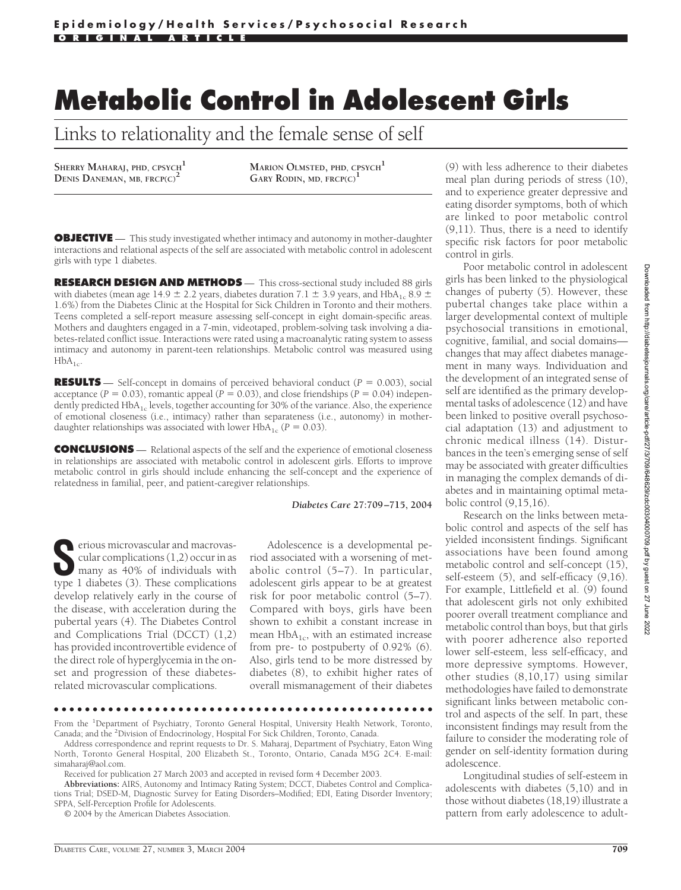# **Metabolic Control in Adolescent Girls**

Links to relationality and the female sense of self

SHERRY MAHARAJ, PHD, CPSYCH<sup>1</sup><br>Denis Daneman, MB, FRCP(C)<sup>2</sup>

**DENIS DANEMAN, MB, FRCP(C)<sup>2</sup> MARION OLMSTED, PHD, CPSYCH<sup>1</sup> GARY RODIN, MD, FRCP(C)<sup>1</sup>**

**OBJECTIVE** — This study investigated whether intimacy and autonomy in mother-daughter interactions and relational aspects of the self are associated with metabolic control in adolescent girls with type 1 diabetes.

**RESEARCH DESIGN AND METHODS** — This cross-sectional study included 88 girls with diabetes (mean age 14.9  $\pm$  2.2 years, diabetes duration 7.1  $\pm$  3.9 years, and HbA<sub>1c</sub> 8.9  $\pm$ 1.6%) from the Diabetes Clinic at the Hospital for Sick Children in Toronto and their mothers. Teens completed a self-report measure assessing self-concept in eight domain-specific areas. Mothers and daughters engaged in a 7-min, videotaped, problem-solving task involving a diabetes-related conflict issue. Interactions were rated using a macroanalytic rating system to assess intimacy and autonomy in parent-teen relationships. Metabolic control was measured using  $HbA_{1c}$ .

**RESULTS** — Self-concept in domains of perceived behavioral conduct  $(P = 0.003)$ , social acceptance ( $P = 0.03$ ), romantic appeal ( $P = 0.03$ ), and close friendships ( $P = 0.04$ ) independently predicted  $HbA_{1c}$  levels, together accounting for 30% of the variance. Also, the experience of emotional closeness (i.e., intimacy) rather than separateness (i.e., autonomy) in motherdaughter relationships was associated with lower  $HbA_{1c}$  ( $P = 0.03$ ).

**CONCLUSIONS** — Relational aspects of the self and the experience of emotional closeness in relationships are associated with metabolic control in adolescent girls. Efforts to improve metabolic control in girls should include enhancing the self-concept and the experience of relatedness in familial, peer, and patient-caregiver relationships.

#### *Diabetes Care* **27:709–715, 2004**

**S**erious microvascular and macrovascular complications (1,2) occur in as many as 40% of individuals with type 1 diabetes (3). These complications develop relatively early in the course of the disease, with acceleration during the pubertal years (4). The Diabetes Control and Complications Trial (DCCT) (1,2) has provided incontrovertible evidence of the direct role of hyperglycemia in the onset and progression of these diabetesrelated microvascular complications.

Adolescence is a developmental period associated with a worsening of metabolic control (5–7). In particular, adolescent girls appear to be at greatest risk for poor metabolic control (5–7). Compared with boys, girls have been shown to exhibit a constant increase in mean  $HbA_{1c}$ , with an estimated increase from pre- to postpuberty of 0.92% (6). Also, girls tend to be more distressed by diabetes (8), to exhibit higher rates of overall mismanagement of their diabetes

●●●●●●●●●●●●●●●●●●●●●●●●●●●●●●●●●●●●●●●●●●●●●●●●●

**Abbreviations:** AIRS, Autonomy and Intimacy Rating System; DCCT, Diabetes Control and Complications Trial; DSED-M, Diagnostic Survey for Eating Disorders–Modified; EDI, Eating Disorder Inventory; SPPA, Self-Perception Profile for Adolescents.

© 2004 by the American Diabetes Association.

(9) with less adherence to their diabetes meal plan during periods of stress (10), and to experience greater depressive and eating disorder symptoms, both of which are linked to poor metabolic control (9,11). Thus, there is a need to identify specific risk factors for poor metabolic control in girls.

Poor metabolic control in adolescent girls has been linked to the physiological changes of puberty (5). However, these pubertal changes take place within a larger developmental context of multiple psychosocial transitions in emotional, cognitive, familial, and social domains changes that may affect diabetes management in many ways. Individuation and the development of an integrated sense of self are identified as the primary developmental tasks of adolescence (12) and have been linked to positive overall psychosocial adaptation (13) and adjustment to chronic medical illness (14). Disturbances in the teen's emerging sense of self may be associated with greater difficulties in managing the complex demands of diabetes and in maintaining optimal metabolic control (9,15,16).

Research on the links between metabolic control and aspects of the self has yielded inconsistent findings. Significant associations have been found among metabolic control and self-concept (15), self-esteem (5), and self-efficacy (9,16). For example, Littlefield et al. (9) found that adolescent girls not only exhibited poorer overall treatment compliance and metabolic control than boys, but that girls with poorer adherence also reported lower self-esteem, less self-efficacy, and more depressive symptoms. However, other studies (8,10,17) using similar methodologies have failed to demonstrate significant links between metabolic control and aspects of the self. In part, these inconsistent findings may result from the failure to consider the moderating role of gender on self-identity formation during adolescence.

Longitudinal studies of self-esteem in adolescents with diabetes (5,10) and in those without diabetes (18,19) illustrate a pattern from early adolescence to adult-

From the <sup>1</sup>Department of Psychiatry, Toronto General Hospital, University Health Network, Toronto, Canada; and the <sup>2</sup> Division of Endocrinology, Hospital For Sick Children, Toronto, Canada.

Address correspondence and reprint requests to Dr. S. Maharaj, Department of Psychiatry, Eaton Wing North, Toronto General Hospital, 200 Elizabeth St., Toronto, Ontario, Canada M5G 2C4. E-mail: simaharaj@aol.com.

Received for publication 27 March 2003 and accepted in revised form 4 December 2003.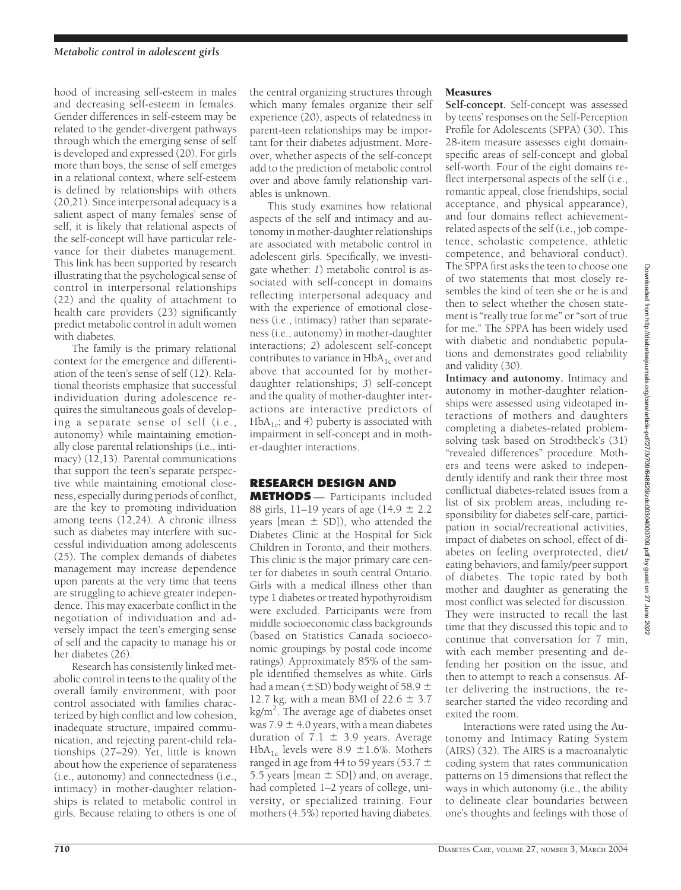hood of increasing self-esteem in males and decreasing self-esteem in females. Gender differences in self-esteem may be related to the gender-divergent pathways through which the emerging sense of self is developed and expressed (20). For girls more than boys, the sense of self emerges in a relational context, where self-esteem is defined by relationships with others (20,21). Since interpersonal adequacy is a salient aspect of many females' sense of self, it is likely that relational aspects of the self-concept will have particular relevance for their diabetes management. This link has been supported by research illustrating that the psychological sense of control in interpersonal relationships (22) and the quality of attachment to health care providers (23) significantly predict metabolic control in adult women with diabetes.

The family is the primary relational context for the emergence and differentiation of the teen's sense of self (12). Relational theorists emphasize that successful individuation during adolescence requires the simultaneous goals of developing a separate sense of self (i.e., autonomy) while maintaining emotionally close parental relationships (i.e., intimacy) (12,13). Parental communications that support the teen's separate perspective while maintaining emotional closeness, especially during periods of conflict, are the key to promoting individuation among teens (12,24). A chronic illness such as diabetes may interfere with successful individuation among adolescents (25). The complex demands of diabetes management may increase dependence upon parents at the very time that teens are struggling to achieve greater independence. This may exacerbate conflict in the negotiation of individuation and adversely impact the teen's emerging sense of self and the capacity to manage his or her diabetes (26).

Research has consistently linked metabolic control in teens to the quality of the overall family environment, with poor control associated with families characterized by high conflict and low cohesion, inadequate structure, impaired communication, and rejecting parent-child relationships (27–29). Yet, little is known about how the experience of separateness (i.e., autonomy) and connectedness (i.e., intimacy) in mother-daughter relationships is related to metabolic control in girls. Because relating to others is one of

the central organizing structures through which many females organize their self experience (20), aspects of relatedness in parent-teen relationships may be important for their diabetes adjustment. Moreover, whether aspects of the self-concept add to the prediction of metabolic control over and above family relationship variables is unknown.

This study examines how relational aspects of the self and intimacy and autonomy in mother-daughter relationships are associated with metabolic control in adolescent girls. Specifically, we investigate whether: *1*) metabolic control is associated with self-concept in domains reflecting interpersonal adequacy and with the experience of emotional closeness (i.e., intimacy) rather than separateness (i.e., autonomy) in mother-daughter interactions; *2*) adolescent self-concept contributes to variance in  $HbA_{1c}$  over and above that accounted for by motherdaughter relationships; *3*) self-concept and the quality of mother-daughter interactions are interactive predictors of  $HbA_{1c}$ ; and 4) puberty is associated with impairment in self-concept and in mother-daughter interactions.

# **RESEARCH DESIGN AND**

**METHODS** — Participants included 88 girls, 11–19 years of age  $(14.9 \pm 2.2)$ years [mean  $\pm$  SD]), who attended the Diabetes Clinic at the Hospital for Sick Children in Toronto, and their mothers. This clinic is the major primary care center for diabetes in south central Ontario. Girls with a medical illness other than type 1 diabetes or treated hypothyroidism were excluded. Participants were from middle socioeconomic class backgrounds (based on Statistics Canada socioeconomic groupings by postal code income ratings). Approximately 85% of the sample identified themselves as white. Girls had a mean ( $\pm$ SD) body weight of 58.9  $\pm$ 12.7 kg, with a mean BMI of  $22.6 \pm 3.7$ kg/m<sup>2</sup>. The average age of diabetes onset was  $7.9 \pm 4.0$  years, with a mean diabetes duration of  $7.1 \pm 3.9$  years. Average HbA<sub>1c</sub> levels were 8.9  $\pm$ 1.6%. Mothers ranged in age from 44 to 59 years (53.7  $\pm$ 5.5 years [mean  $\pm$  SD]) and, on average, had completed 1–2 years of college, university, or specialized training. Four mothers (4.5%) reported having diabetes.

# Measures

**Self-concept.** Self-concept was assessed by teens' responses on the Self-Perception Profile for Adolescents (SPPA) (30). This 28-item measure assesses eight domainspecific areas of self-concept and global self-worth. Four of the eight domains reflect interpersonal aspects of the self (i.e., romantic appeal, close friendships, social acceptance, and physical appearance), and four domains reflect achievementrelated aspects of the self (i.e., job competence, scholastic competence, athletic competence, and behavioral conduct). The SPPA first asks the teen to choose one of two statements that most closely resembles the kind of teen she or he is and then to select whether the chosen statement is "really true for me" or "sort of true for me." The SPPA has been widely used with diabetic and nondiabetic populations and demonstrates good reliability and validity (30).

**Intimacy and autonomy.** Intimacy and autonomy in mother-daughter relationships were assessed using videotaped interactions of mothers and daughters completing a diabetes-related problemsolving task based on Strodtbeck's (31) "revealed differences" procedure. Mothers and teens were asked to independently identify and rank their three most conflictual diabetes-related issues from a list of six problem areas, including responsibility for diabetes self-care, participation in social/recreational activities, impact of diabetes on school, effect of diabetes on feeling overprotected, diet/ eating behaviors, and family/peer support of diabetes. The topic rated by both mother and daughter as generating the most conflict was selected for discussion. They were instructed to recall the last time that they discussed this topic and to continue that conversation for 7 min, with each member presenting and defending her position on the issue, and then to attempt to reach a consensus. After delivering the instructions, the researcher started the video recording and exited the room.

Interactions were rated using the Autonomy and Intimacy Rating System (AIRS) (32). The AIRS is a macroanalytic coding system that rates communication patterns on 15 dimensions that reflect the ways in which autonomy (i.e., the ability to delineate clear boundaries between one's thoughts and feelings with those of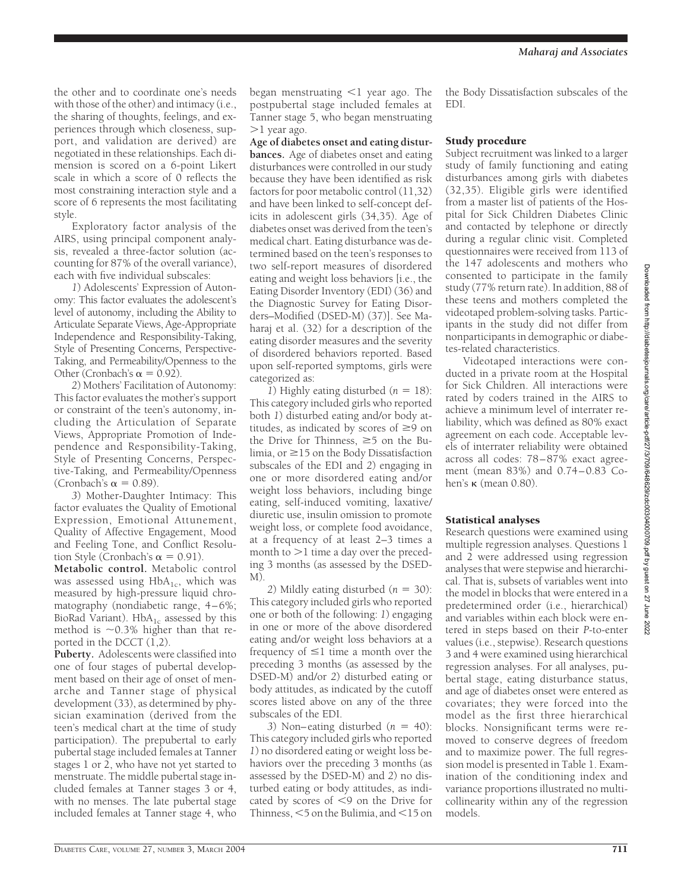This category included girls who reported *1*) no disordered eating or weight loss behaviors over the preceding 3 months (as assessed by the DSED-M) and *2*) no disturbed eating or body attitudes, as indicated by scores of  $\leq$ 9 on the Drive for Thinness,  $<$  5 on the Bulimia, and  $<$  15 on

the other and to coordinate one's needs with those of the other) and intimacy (i.e., the sharing of thoughts, feelings, and experiences through which closeness, support, and validation are derived) are negotiated in these relationships. Each dimension is scored on a 6-point Likert scale in which a score of  $\vec{0}$  reflects the most constraining interaction style and a score of 6 represents the most facilitating style.

Exploratory factor analysis of the AIRS, using principal component analysis, revealed a three-factor solution (accounting for 87% of the overall variance), each with five individual subscales:

*1*) Adolescents' Expression of Autonomy: This factor evaluates the adolescent's level of autonomy, including the Ability to Articulate Separate Views, Age-Appropriate Independence and Responsibility-Taking, Style of Presenting Concerns, Perspective-Taking, and Permeability/Openness to the Other (Cronbach's  $\alpha = 0.92$ ).

*2*) Mothers' Facilitation of Autonomy: This factor evaluates the mother's support or constraint of the teen's autonomy, including the Articulation of Separate Views, Appropriate Promotion of Independence and Responsibility-Taking, Style of Presenting Concerns, Perspective-Taking, and Permeability/Openness (Cronbach's  $\alpha = 0.89$ ).

*3*) Mother-Daughter Intimacy: This factor evaluates the Quality of Emotional Expression, Emotional Attunement, Quality of Affective Engagement, Mood and Feeling Tone, and Conflict Resolution Style (Cronbach's  $\alpha = 0.91$ ).

**Metabolic control.** Metabolic control was assessed using  $HbA_{1c}$ , which was measured by high-pressure liquid chromatography (nondiabetic range, 4–6%; BioRad Variant).  $HbA_{1c}$  assessed by this method is  $\sim 0.3\%$  higher than that reported in the DCCT (1,2).

**Puberty.** Adolescents were classified into one of four stages of pubertal development based on their age of onset of menarche and Tanner stage of physical development (33), as determined by physician examination (derived from the teen's medical chart at the time of study participation). The prepubertal to early pubertal stage included females at Tanner stages 1 or 2, who have not yet started to menstruate. The middle pubertal stage included females at Tanner stages 3 or 4, with no menses. The late pubertal stage included females at Tanner stage 4, who

began menstruating  $\leq 1$  year ago. The postpubertal stage included females at Tanner stage 5, who began menstruating  $>1$  year ago.

**Age of diabetes onset and eating disturbances.** Age of diabetes onset and eating disturbances were controlled in our study because they have been identified as risk factors for poor metabolic control (11,32) and have been linked to self-concept deficits in adolescent girls (34,35). Age of diabetes onset was derived from the teen's medical chart. Eating disturbance was determined based on the teen's responses to two self-report measures of disordered eating and weight loss behaviors [i.e., the Eating Disorder Inventory (EDI) (36) and the Diagnostic Survey for Eating Disorders–Modified (DSED-M) (37)]. See Maharaj et al. (32) for a description of the eating disorder measures and the severity of disordered behaviors reported. Based upon self-reported symptoms, girls were categorized as:

*1*) Highly eating disturbed  $(n = 18)$ : This category included girls who reported both *1*) disturbed eating and/or body attitudes, as indicated by scores of  $\geq 9$  on the Drive for Thinness,  $\geq 5$  on the Bulimia, or  $\geq$ 15 on the Body Dissatisfaction subscales of the EDI and *2*) engaging in one or more disordered eating and/or weight loss behaviors, including binge eating, self-induced vomiting, laxative/ diuretic use, insulin omission to promote weight loss, or complete food avoidance, at a frequency of at least 2–3 times a month to  $>1$  time a day over the preceding 3 months (as assessed by the DSED-M).

2) Mildly eating disturbed  $(n = 30)$ : This category included girls who reported one or both of the following: *1*) engaging in one or more of the above disordered eating and/or weight loss behaviors at a frequency of  $\leq 1$  time a month over the preceding 3 months (as assessed by the DSED-M) and/or *2*) disturbed eating or body attitudes, as indicated by the cutoff scores listed above on any of the three subscales of the EDI.

3) Non–eating disturbed  $(n = 40)$ :

the Body Dissatisfaction subscales of the EDI.

#### Study procedure

Subject recruitment was linked to a larger study of family functioning and eating disturbances among girls with diabetes (32,35). Eligible girls were identified from a master list of patients of the Hospital for Sick Children Diabetes Clinic and contacted by telephone or directly during a regular clinic visit. Completed questionnaires were received from 113 of the 147 adolescents and mothers who consented to participate in the family study (77% return rate). In addition, 88 of these teens and mothers completed the videotaped problem-solving tasks. Participants in the study did not differ from nonparticipants in demographic or diabetes-related characteristics.

Videotaped interactions were conducted in a private room at the Hospital for Sick Children. All interactions were rated by coders trained in the AIRS to achieve a minimum level of interrater reliability, which was defined as 80% exact agreement on each code. Acceptable levels of interrater reliability were obtained across all codes: 78–87% exact agreement (mean 83%) and 0.74–0.83 Cohen's  $\kappa$  (mean 0.80).

#### Statistical analyses

Research questions were examined using multiple regression analyses. Questions 1 and 2 were addressed using regression analyses that were stepwise and hierarchical. That is, subsets of variables went into the model in blocks that were entered in a predetermined order (i.e., hierarchical) and variables within each block were entered in steps based on their *P*-to-enter values (i.e., stepwise). Research questions 3 and 4 were examined using hierarchical regression analyses. For all analyses, pubertal stage, eating disturbance status, and age of diabetes onset were entered as covariates; they were forced into the model as the first three hierarchical blocks. Nonsignificant terms were removed to conserve degrees of freedom and to maximize power. The full regression model is presented in Table 1. Examination of the conditioning index and variance proportions illustrated no multicollinearity within any of the regression models.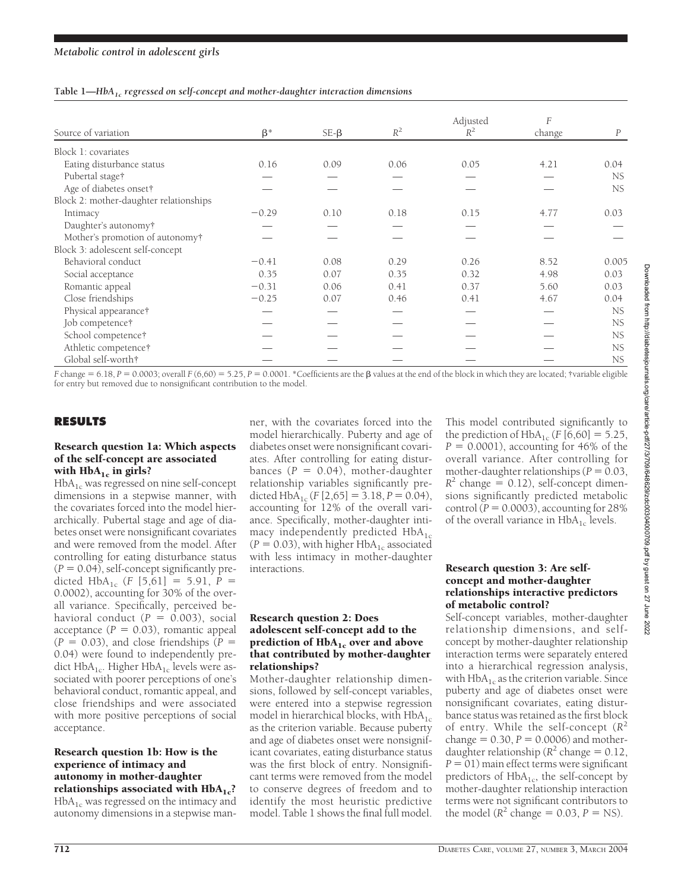| Source of variation                    |           | $SE-B$ | $R^2$ | Adjusted<br>$R^2$ | F<br>change | $\boldsymbol{P}$ |
|----------------------------------------|-----------|--------|-------|-------------------|-------------|------------------|
|                                        | $\beta^*$ |        |       |                   |             |                  |
| Block 1: covariates                    |           |        |       |                   |             |                  |
| Eating disturbance status              | 0.16      | 0.09   | 0.06  | 0.05              | 4.21        | 0.04             |
| Pubertal stage†                        |           |        |       |                   |             | NS.              |
| Age of diabetes onset†                 |           |        |       |                   |             | NS.              |
| Block 2: mother-daughter relationships |           |        |       |                   |             |                  |
| Intimacy                               | $-0.29$   | 0.10   | 0.18  | 0.15              | 4.77        | 0.03             |
| Daughter's autonomy†                   |           |        |       |                   |             |                  |
| Mother's promotion of autonomy†        |           |        |       |                   |             |                  |
| Block 3: adolescent self-concept       |           |        |       |                   |             |                  |
| Behavioral conduct                     | $-0.41$   | 0.08   | 0.29  | 0.26              | 8.52        | 0.005            |
| Social acceptance                      | 0.35      | 0.07   | 0.35  | 0.32              | 4.98        | 0.03             |
| Romantic appeal                        | $-0.31$   | 0.06   | 0.41  | 0.37              | 5.60        | 0.03             |
| Close friendships                      | $-0.25$   | 0.07   | 0.46  | 0.41              | 4.67        | 0.04             |
| Physical appearance†                   |           |        |       |                   |             | <b>NS</b>        |
| Job competence†                        |           |        |       |                   |             | <b>NS</b>        |
| School competence†                     |           |        |       |                   |             | NS               |
| Athletic competence†                   |           |        |       |                   |             | NS               |
| Global self-worth†                     |           |        |       |                   |             | <b>NS</b>        |

*F* change = 6.18, *P* = 0.0003; overall *F* (6,60) = 5.25, *P* = 0.0001. \*Coefficients are the  $\beta$  values at the end of the block in which they are located; †variable eligible for entry but removed due to nonsignificant contribution to the model.

# **RESULTS**

#### Research question 1a: Which aspects of the self-concept are associated with  $HbA_{1c}$  in girls?

 $HbA_{1c}$  was regressed on nine self-concept dimensions in a stepwise manner, with the covariates forced into the model hierarchically. Pubertal stage and age of diabetes onset were nonsignificant covariates and were removed from the model. After controlling for eating disturbance status  $(P = 0.04)$ , self-concept significantly predicted  $HbA_{1c}$  (*F* [5,61] = 5.91, *P* = 0.0002), accounting for 30% of the overall variance. Specifically, perceived behavioral conduct  $(P = 0.003)$ , social  $acceptance (P = 0.03)$ , romantic appeal  $(P = 0.03)$ , and close friendships  $(P =$ 0.04) were found to independently predict  $HbA_{1c}$ . Higher  $HbA_{1c}$  levels were associated with poorer perceptions of one's behavioral conduct, romantic appeal, and close friendships and were associated with more positive perceptions of social acceptance.

#### Research question 1b: How is the experience of intimacy and autonomy in mother-daughter relationships associated with  $HbA_{1c}$ ?  $HbA_{1c}$  was regressed on the intimacy and autonomy dimensions in a stepwise man-

ner, with the covariates forced into the model hierarchically. Puberty and age of diabetes onset were nonsignificant covariates. After controlling for eating distur $bances (P = 0.04)$ , mother-daughter relationship variables significantly predicted HbA<sub>1c</sub> (*F* [2,65] = 3.18, *P* = 0.04), accounting for 12% of the overall variance. Specifically, mother-daughter intimacy independently predicted  $HbA_{1c}$  $(P = 0.03)$ , with higher HbA<sub>1c</sub> associated with less intimacy in mother-daughter interactions.

#### Research question 2: Does adolescent self-concept add to the prediction of  $HbA_{1c}$  over and above that contributed by mother-daughter relationships?

Mother-daughter relationship dimensions, followed by self-concept variables, were entered into a stepwise regression model in hierarchical blocks, with  $HbA_{1c}$ as the criterion variable. Because puberty and age of diabetes onset were nonsignificant covariates, eating disturbance status was the first block of entry. Nonsignificant terms were removed from the model to conserve degrees of freedom and to identify the most heuristic predictive model. Table 1 shows the final full model.

This model contributed significantly to the prediction of  $HbA_{1c}$  (*F* [6,60] = 5.25,  $P = 0.0001$ ), accounting for 46% of the overall variance. After controlling for mother-daughter relationships ( $P = 0.03$ ,  $R^2$  change = 0.12), self-concept dimensions significantly predicted metabolic  $control (P = 0.0003)$ , accounting for 28% of the overall variance in  $HbA_{1c}$  levels.

#### Research question 3: Are selfconcept and mother-daughter relationships interactive predictors of metabolic control?

Self-concept variables, mother-daughter relationship dimensions, and selfconcept by mother-daughter relationship interaction terms were separately entered into a hierarchical regression analysis, with  $HbA_{1c}$  as the criterion variable. Since puberty and age of diabetes onset were nonsignificant covariates, eating disturbance status was retained as the first block of entry. While the self-concept (*R*<sup>2</sup>  $change = 0.30, P = 0.0006)$  and motherdaughter relationship ( $R^2$  change = 0.12,  $P = 01$ ) main effect terms were significant predictors of  $HbA_{1c}$ , the self-concept by mother-daughter relationship interaction terms were not significant contributors to the model  $(R^2 \text{ change} = 0.03, P = \text{NS})$ .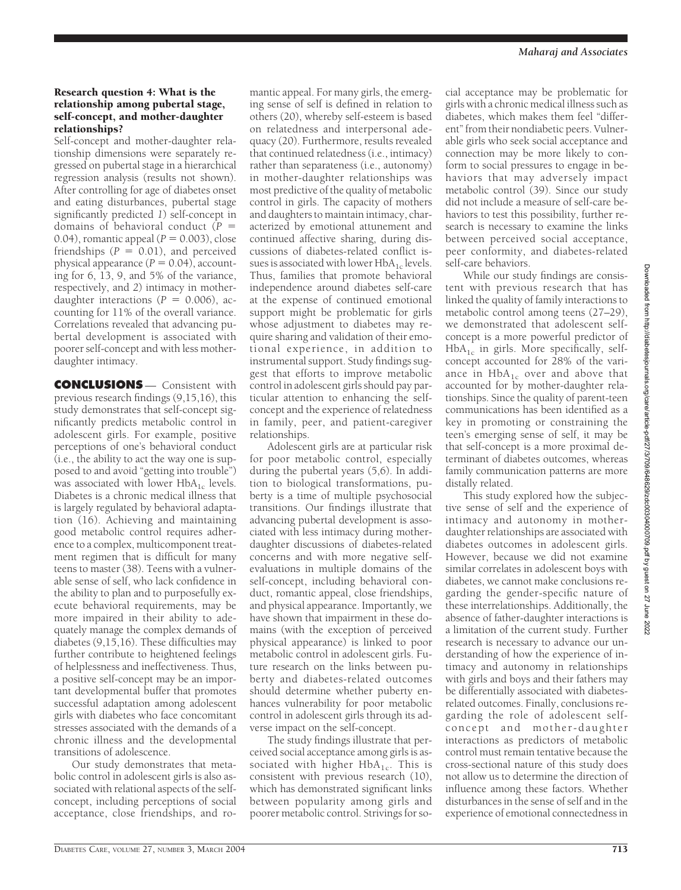# Research question 4: What is the relationship among pubertal stage, self-concept, and mother-daughter relationships?

Self-concept and mother-daughter relationship dimensions were separately regressed on pubertal stage in a hierarchical regression analysis (results not shown). After controlling for age of diabetes onset and eating disturbances, pubertal stage significantly predicted *1*) self-concept in domains of behavioral conduct  $(P =$  $(0.04)$ , romantic appeal  $(P = 0.003)$ , close friendships  $(P = 0.01)$ , and perceived physical appearance  $(P = 0.04)$ , accounting for 6, 13, 9, and 5% of the variance, respectively, and *2*) intimacy in motherdaughter interactions  $(P = 0.006)$ , accounting for 11% of the overall variance. Correlations revealed that advancing pubertal development is associated with poorer self-concept and with less motherdaughter intimacy.

**CONCLUSIONS** — Consistent with previous research findings (9,15,16), this study demonstrates that self-concept significantly predicts metabolic control in adolescent girls. For example, positive perceptions of one's behavioral conduct (i.e., the ability to act the way one is supposed to and avoid "getting into trouble") was associated with lower  $HbA_{1c}$  levels. Diabetes is a chronic medical illness that is largely regulated by behavioral adaptation (16). Achieving and maintaining good metabolic control requires adherence to a complex, multicomponent treatment regimen that is difficult for many teens to master (38). Teens with a vulnerable sense of self, who lack confidence in the ability to plan and to purposefully execute behavioral requirements, may be more impaired in their ability to adequately manage the complex demands of diabetes (9,15,16). These difficulties may further contribute to heightened feelings of helplessness and ineffectiveness. Thus, a positive self-concept may be an important developmental buffer that promotes successful adaptation among adolescent girls with diabetes who face concomitant stresses associated with the demands of a chronic illness and the developmental transitions of adolescence.

Our study demonstrates that metabolic control in adolescent girls is also associated with relational aspects of the selfconcept, including perceptions of social acceptance, close friendships, and ro-

mantic appeal. For many girls, the emerging sense of self is defined in relation to others (20), whereby self-esteem is based on relatedness and interpersonal adequacy (20). Furthermore, results revealed that continued relatedness (i.e., intimacy) rather than separateness (i.e., autonomy) in mother-daughter relationships was most predictive of the quality of metabolic control in girls. The capacity of mothers and daughters to maintain intimacy, characterized by emotional attunement and continued affective sharing, during discussions of diabetes-related conflict issues is associated with lower  $HbA_{1c}$  levels. Thus, families that promote behavioral independence around diabetes self-care at the expense of continued emotional support might be problematic for girls whose adjustment to diabetes may require sharing and validation of their emotional experience, in addition to instrumental support. Study findings suggest that efforts to improve metabolic control in adolescent girls should pay particular attention to enhancing the selfconcept and the experience of relatedness in family, peer, and patient-caregiver relationships.

Adolescent girls are at particular risk for poor metabolic control, especially during the pubertal years (5,6). In addition to biological transformations, puberty is a time of multiple psychosocial transitions. Our findings illustrate that advancing pubertal development is associated with less intimacy during motherdaughter discussions of diabetes-related concerns and with more negative selfevaluations in multiple domains of the self-concept, including behavioral conduct, romantic appeal, close friendships, and physical appearance. Importantly, we have shown that impairment in these domains (with the exception of perceived physical appearance) is linked to poor metabolic control in adolescent girls. Future research on the links between puberty and diabetes-related outcomes should determine whether puberty enhances vulnerability for poor metabolic control in adolescent girls through its adverse impact on the self-concept.

The study findings illustrate that perceived social acceptance among girls is associated with higher  $HbA_{1c}$ . This is consistent with previous research (10), which has demonstrated significant links between popularity among girls and poorer metabolic control. Strivings for so-

cial acceptance may be problematic for girls with a chronic medical illness such as diabetes, which makes them feel "different"from their nondiabetic peers. Vulnerable girls who seek social acceptance and connection may be more likely to conform to social pressures to engage in behaviors that may adversely impact metabolic control (39). Since our study did not include a measure of self-care behaviors to test this possibility, further research is necessary to examine the links between perceived social acceptance, peer conformity, and diabetes-related self-care behaviors.

While our study findings are consistent with previous research that has linked the quality of family interactions to metabolic control among teens (27–29), we demonstrated that adolescent selfconcept is a more powerful predictor of  $HbA_{1c}$  in girls. More specifically, selfconcept accounted for 28% of the variance in  $HbA_{1c}$  over and above that accounted for by mother-daughter relationships. Since the quality of parent-teen communications has been identified as a key in promoting or constraining the teen's emerging sense of self, it may be that self-concept is a more proximal determinant of diabetes outcomes, whereas family communication patterns are more distally related.

This study explored how the subjective sense of self and the experience of intimacy and autonomy in motherdaughter relationships are associated with diabetes outcomes in adolescent girls. However, because we did not examine similar correlates in adolescent boys with diabetes, we cannot make conclusions regarding the gender-specific nature of these interrelationships. Additionally, the absence of father-daughter interactions is a limitation of the current study. Further research is necessary to advance our understanding of how the experience of intimacy and autonomy in relationships with girls and boys and their fathers may be differentially associated with diabetesrelated outcomes. Finally, conclusions regarding the role of adolescent selfconcept and mother-daughter interactions as predictors of metabolic control must remain tentative because the cross-sectional nature of this study does not allow us to determine the direction of influence among these factors. Whether disturbances in the sense of self and in the experience of emotional connectedness in

Downloaded from http://diabetesjournals.org/care/article-pdf/27/3/709/648629/zdc00304000709.pdf by guest on 27 June 2022 Downloaded from http://diabetesjournals.org/care/article-pdf/27/3/709/648629/zdc00304000709.pdf by guest on 27 June 2022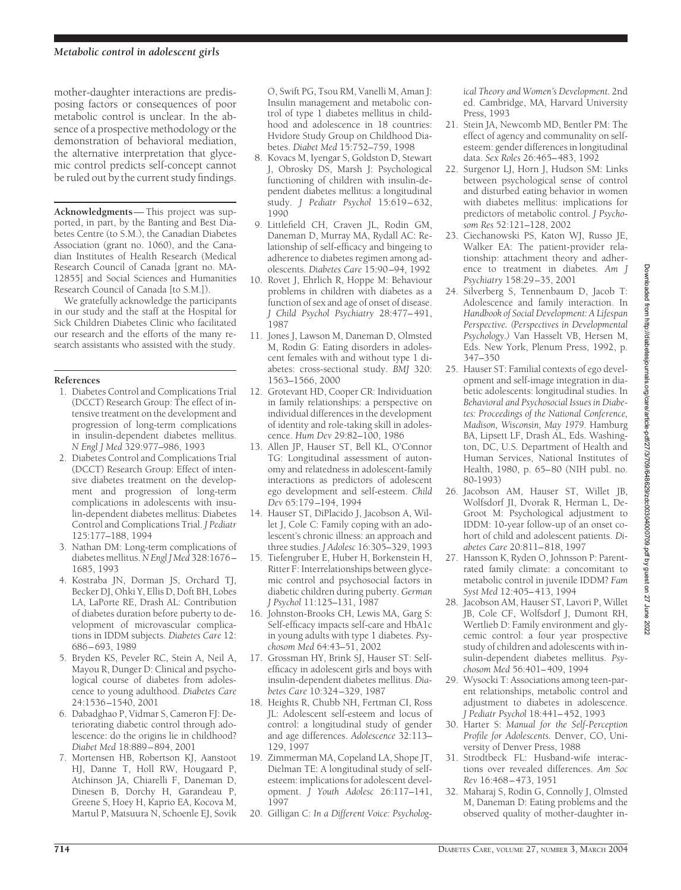mother-daughter interactions are predisposing factors or consequences of poor metabolic control is unclear. In the absence of a prospective methodology or the demonstration of behavioral mediation, the alternative interpretation that glycemic control predicts self-concept cannot be ruled out by the current study findings.

**Acknowledgments**— This project was supported, in part, by the Banting and Best Diabetes Centre (to S.M.), the Canadian Diabetes Association (grant no. 1060), and the Canadian Institutes of Health Research (Medical Research Council of Canada [grant no. MA-12855] and Social Sciences and Humanities Research Council of Canada [to S.M.]).

We gratefully acknowledge the participants in our study and the staff at the Hospital for Sick Children Diabetes Clinic who facilitated our research and the efforts of the many research assistants who assisted with the study.

### **References**

- 1. Diabetes Control and Complications Trial (DCCT) Research Group: The effect of intensive treatment on the development and progression of long-term complications in insulin-dependent diabetes mellitus. *N Engl J Med* 329:977–986, 1993
- 2. Diabetes Control and Complications Trial (DCCT) Research Group: Effect of intensive diabetes treatment on the development and progression of long-term complications in adolescents with insulin-dependent diabetes mellitus: Diabetes Control and Complications Trial. *J Pediatr* 125:177–188, 1994
- 3. Nathan DM: Long-term complications of diabetes mellitus.*N Engl J Med* 328:1676– 1685, 1993
- 4. Kostraba JN, Dorman JS, Orchard TJ, Becker DJ, Ohki Y, Ellis D, Doft BH, Lobes LA, LaPorte RE, Drash AL: Contribution of diabetes duration before puberty to development of microvascular complications in IDDM subjects. *Diabetes Care* 12: 686–693, 1989
- 5. Bryden KS, Peveler RC, Stein A, Neil A, Mayou R, Dunger D: Clinical and psychological course of diabetes from adolescence to young adulthood. *Diabetes Care* 24:1536–1540, 2001
- 6. Dabadghao P, Vidmar S, Cameron FJ: Deteriorating diabetic control through adolescence: do the origins lie in childhood? *Diabet Med* 18:889–894, 2001
- 7. Mortensen HB, Robertson KJ, Aanstoot HJ, Danne T, Holl RW, Hougaard P, Atchinson JA, Chiarelli F, Daneman D, Dinesen B, Dorchy H, Garandeau P, Greene S, Hoey H, Kaprio EA, Kocova M, Martul P, Matsuura N, Schoenle EJ, Sovik

O, Swift PG, Tsou RM, Vanelli M, Aman J: Insulin management and metabolic control of type 1 diabetes mellitus in childhood and adolescence in 18 countries: Hvidore Study Group on Childhood Diabetes. *Diabet Med* 15:752–759, 1998

- 8. Kovacs M, Iyengar S, Goldston D, Stewart J, Obrosky DS, Marsh J: Psychological functioning of children with insulin-dependent diabetes mellitus: a longitudinal study. *J Pediatr Psychol* 15:619–632, 1990
- 9. Littlefield CH, Craven JL, Rodin GM, Daneman D, Murray MA, Rydall AC: Relationship of self-efficacy and bingeing to adherence to diabetes regimen among adolescents. *Diabetes Care* 15:90–94, 1992
- 10. Rovet J, Ehrlich R, Hoppe M: Behaviour problems in children with diabetes as a function of sex and age of onset of disease. *J Child Psychol Psychiatry* 28:477–491, 1987
- 11. Jones J, Lawson M, Daneman D, Olmsted M, Rodin G: Eating disorders in adolescent females with and without type 1 diabetes: cross-sectional study. *BMJ* 320: 1563–1566, 2000
- 12. Grotevant HD, Cooper CR: Individuation in family relationships: a perspective on individual differences in the development of identity and role-taking skill in adolescence. *Hum Dev* 29:82–100, 1986
- 13. Allen JP, Hauser ST, Bell KL, O'Connor TG: Longitudinal assessment of autonomy and relatedness in adolescent-family interactions as predictors of adolescent ego development and self-esteem. *Child Dev* 65:179–194, 1994
- 14. Hauser ST, DiPlacido J, Jacobson A, Willet J, Cole C: Family coping with an adolescent's chronic illness: an approach and three studies. *J Adolesc* 16:305–329, 1993
- 15. Tiefengruber E, Huber H, Borkenstein H, Ritter F: Interrelationships between glycemic control and psychosocial factors in diabetic children during puberty. *German J Psychol* 11:125–131, 1987
- 16. Johnston-Brooks CH, Lewis MA, Garg S: Self-efficacy impacts self-care and HbA1c in young adults with type 1 diabetes. *Psychosom Med* 64:43–51, 2002
- 17. Grossman HY, Brink SJ, Hauser ST: Selfefficacy in adolescent girls and boys with insulin-dependent diabetes mellitus. *Diabetes Care* 10:324–329, 1987
- 18. Heights R, Chubb NH, Fertman CI, Ross JL: Adolescent self-esteem and locus of control: a longitudinal study of gender and age differences. *Adolescence* 32:113– 129, 1997
- 19. Zimmerman MA, Copeland LA, Shope JT, Dielman TE: A longitudinal study of selfesteem: implications for adolescent development. *J Youth Adolesc* 26:117–141, 1997
- 20. Gilligan C: *In a Different Voice: Psycholog-*

*ical Theory and Women's Development.* 2nd ed. Cambridge, MA, Harvard University Press, 1993

- 21. Stein JA, Newcomb MD, Bentler PM: The effect of agency and communality on selfesteem: gender differences in longitudinal data. *Sex Roles* 26:465–483, 1992
- 22. Surgenor LJ, Horn J, Hudson SM: Links between psychological sense of control and disturbed eating behavior in women with diabetes mellitus: implications for predictors of metabolic control. *J Psychosom Res* 52:121–128, 2002
- 23. Ciechanowski PS, Katon WJ, Russo JE, Walker EA: The patient-provider relationship: attachment theory and adherence to treatment in diabetes. *Am J Psychiatry* 158:29–35, 2001
- 24. Silverberg S, Tennenbaum D, Jacob T: Adolescence and family interaction. In *Handbook of Social Development: A Lifespan Perspective. (Perspectives in Developmental Psychology.)* Van Hasselt VB, Hersen M, Eds. New York, Plenum Press, 1992, p. 347–350
- 25. Hauser ST: Familial contexts of ego development and self-image integration in diabetic adolescents: longitudinal studies. In *Behavioral and Psychosocial Issues in Diabetes: Proceedings of the National Conference, Madison, Wisconsin, May 1979*. Hamburg BA, Lipsett LF, Drash AL, Eds. Washington, DC, U.S. Department of Health and Human Services, National Institutes of Health, 1980, p. 65–80 (NIH publ. no. 80-1993)
- 26. Jacobson AM, Hauser ST, Willet JB, Wolfsdorf JI, Dvorak R, Herman L, De-Groot M: Psychological adjustment to IDDM: 10-year follow-up of an onset cohort of child and adolescent patients. *Diabetes Care* 20:811–818, 1997
- 27. Hansson K, Ryden O, Johnsson P: Parentrated family climate: a concomitant to metabolic control in juvenile IDDM? *Fam Syst Med* 12:405–413, 1994
- 28. Jacobson AM, Hauser ST, Lavori P, Willet JB, Cole CF, Wolfsdorf J, Dumont RH, Wertlieb D: Family environment and glycemic control: a four year prospective study of children and adolescents with insulin-dependent diabetes mellitus. *Psychosom Med* 56:401–409, 1994
- 29. Wysocki T: Associations among teen-parent relationships, metabolic control and adjustment to diabetes in adolescence. *J Pediatr Psychol* 18:441–452, 1993
- 30. Harter S: *Manual for the Self-Perception Profile for Adolescents.* Denver, CO, University of Denver Press, 1988
- 31. Strodtbeck FL: Husband-wife interactions over revealed differences. *Am Soc Rev* 16:468–473, 1951
- 32. Maharaj S, Rodin G, Connolly J, Olmsted M, Daneman D: Eating problems and the observed quality of mother-daughter in-